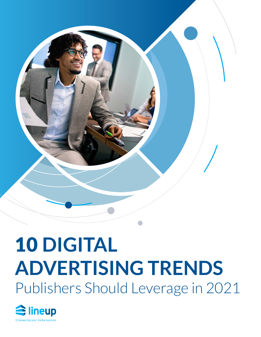

### 10 **DIGITAL ADVERTISING TRENDS** Publishers Should Leverage in 2021

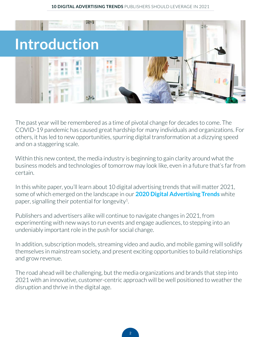

The past year will be remembered as a time of pivotal change for decades to come. The COVID-19 pandemic has caused great hardship for many individuals and organizations. For others, it has led to new opportunities, spurring digital transformation at a dizzying speed and on a staggering scale.

Within this new context, the media industry is beginning to gain clarity around what the business models and technologies of tomorrow may look like, even in a future that's far from certain.

In this white paper, you'll learn about 10 digital advertising trends that will matter 2021, some of which emerged on the landscape in our **[2020 Digital Advertising Trends](https://www.lineup.com/newsroom/2020-digital-advertising-trends-predictions-for-publishers)** white paper, signalling their potential for longevity<sup>1</sup>.

Publishers and advertisers alike will continue to navigate changes in 2021, from experimenting with new ways to run events and engage audiences, to stepping into an undeniably important role in the push for social change.

In addition, subscription models, streaming video and audio, and mobile gaming will solidify themselves in mainstream society, and present exciting opportunities to build relationships and grow revenue.

The road ahead will be challenging, but the media organizations and brands that step into 2021 with an innovative, customer-centric approach will be well positioned to weather the disruption and thrive in the digital age.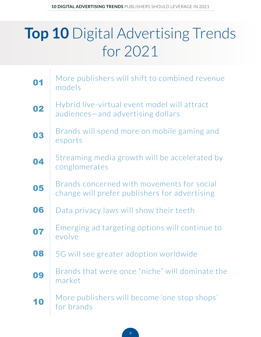### **Top 10** Digital Advertising Trends for 2021

| 01 | More publishers will shift to combined revenue<br>models                                    |
|----|---------------------------------------------------------------------------------------------|
| 02 | Hybrid live-virtual event model will attract<br>audiences-and advertising dollars           |
| 03 | Brands will spend more on mobile gaming and<br>esports                                      |
| 04 | Streaming media growth will be accelerated by<br>conglomerates                              |
| 05 | Brands concerned with movements for social<br>change will prefer publishers for advertising |
| 06 | Data privacy laws will show their teeth                                                     |
| 07 | Emerging ad targeting options will continue to<br>evolve                                    |
| 08 | 5G will see greater adoption worldwide                                                      |
| 09 | Brands that were once "niche" will dominate the<br>market                                   |
|    | More publishers will become 'one stop shops'<br>for brands                                  |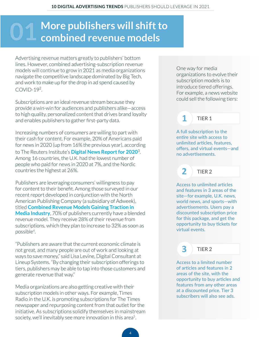## <span id="page-3-0"></span>**More publishers will shift to 01 combined revenue models**

Advertising revenue matters greatly to publishers' bottom lines. However, combined advertising-subscription revenue models will continue to grow in 2021 as media organizations navigate the competitive landscape dominated by Big Tech, and work to make up for the drop in ad spend caused by COVID-192.

Subscriptions are an ideal revenue stream because they provide a win-win for audiences and publishers alike—access to high quality, personalized content that drives brand loyalty and enables publishers to gather first-party data.

Increasing numbers of consumers are willing to part with their cash for content. For example, 20% of Americans paid for news in 2020 (up from 16% the previous year), according to The Reuters Institute's **[Digital News Report for 2020](https://www.niemanlab.org/2020/06/in-some-countries-like-the-u-s-people-really-will-pay-for-more-than-one-news-subscription/)**3. Among 16 countries, the U.K. had the lowest number of people who paid for news in 2020 at 7%, and the Nordic countries the highest at 26%.

Publishers are leveraging consumers' willingness to pay for content to their benefit. Among those surveyed in our recent report developed in conjunction with the North American Publishing Company (a subsidiary of Adweek), titled **[Combined Revenue Models Gaining Traction in](https://www.lineup.com/combined-revenue-advertising-subscriptions)  [Media Industry](https://www.lineup.com/combined-revenue-advertising-subscriptions)**, 70% of publishers currently have a blended revenue model. They receive 28% of their revenue from subscriptions, which they plan to increase to 32% as soon as possible4.

"Publishers are aware that the current economic climate is not great, and many people are out of work and looking at ways to save money," said Lisa Levine, Digital Consultant at Lineup Systems. "By changing their subscription offerings to tiers, publishers may be able to tap into those customers and generate revenue that way."

Media organizations are also getting creative with their subscription models in other ways. For example, Times Radio in the U.K. is promoting subscriptions for The Times newspaper and repurposing content from that outlet for the initiative. As subscriptions solidify themselves in mainstream society, we'll inevitably see more innovation in this area<sup>5</sup>.

One way for media organizations to evolve their subscription models is to introduce tiered offerings. For example, a news website could sell the following tiers:

#### **1** TIER 1

A full subscription to the entire site with access to unlimited articles, features, offers, and virtual events—and no advertisements.

TIER 2

**2**

**3**

Access to unlimited articles and features in 3 areas of the site—for example, U.K. news, world news, and sports—with advertisements. Users pay a discounted subscription price for this package, and get the opportunity to buy tickets for virtual events.

#### TIER 2

Access to a limited number of articles and features in 2 areas of the site, with the opportunity to buy articles and features from any other areas at a discounted price. Tier 3 subscribers will also see ads.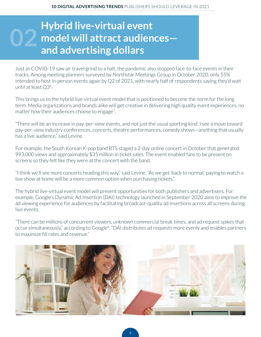### <span id="page-4-0"></span>**Hybrid live-virtual event model will attract audiences and advertising dollars 02**

Just as COVID-19 saw air travel grind to a halt, the pandemic also stopped face-to-face events in their tracks. Among meeting planners surveyed by Northstar Meetings Group in October 2020, only 55% intended to host in-person events again by Q2 of 2021, with nearly half of respondents saying they'd wait until at least Q3<sup>6</sup>.

This brings us to the hybrid live-virtual event model that is positioned to become the norm for the long term. Media organizations and brands alike will get creative in delivering high quality event experiences, no matter how their audiences choose to engage<sup>7</sup>.

"There will be an increase in pay-per-view events, and not just the usual sporting kind. I see a move toward pay-per-view industry conferences, concerts, theatre performances, comedy shows—anything that usually has a live audience," said Levine.

For example, the South Korean K-pop band BTS staged a 2-day online concert in October that generated 993,000 views and approximately \$35 million in ticket sales. The event enabled fans to be present on screens so they felt like they were at the concert with the band.

"I think we'll see more concerts heading this way," said Levine. "As we get 'back to normal,' paying to watch a live show at home will be a more common option when purchasing tickets."

The hybrid live-virtual event model will present opportunities for both publishers and advertisers. For example, Google's Dynamic Ad Insertion (DAI) technology launched in September 2020 aims to improve the ad viewing experience for audiences by facilitating broadcast-quality ad insertions across all screens during live events.

"There can be millions of concurrent viewers, unknown commercial break times, and ad request spikes that occur simultaneously," according to Google8. "DAI distributes ad requests more evenly and enables partners to maximize fill rates and revenue."

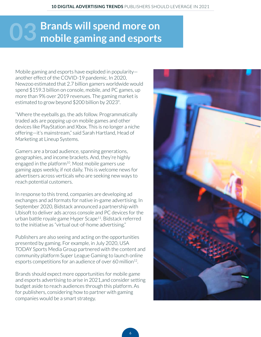## <span id="page-5-0"></span>**Brands will spend more on 03 mobile gaming and esports**

Mobile gaming and esports have exploded in popularity another effect of the COVID-19 pandemic. In 2020, Newzoo estimated that 2.7 billion gamers worldwide would spend \$159.3 billion on console, mobile, and PC games, up more than 9% over 2019 revenues. The gaming market is estimated to grow beyond \$200 billion by 2023<sup>9</sup>.

"Where the eyeballs go, the ads follow. Programmatically traded ads are popping up on mobile games and other devices like PlayStation and Xbox. This is no longer a niche offering—it's mainstream," said Sarah Hartland, Head of Marketing at Lineup Systems.

Gamers are a broad audience, spanning generations, geographies, and income brackets. And, they're highly engaged in the platform $10$ . Most mobile gamers use gaming apps weekly, if not daily. This is welcome news for advertisers across verticals who are seeking new ways to reach potential customers.

In response to this trend, companies are developing ad exchanges and ad formats for native in-game advertising. In September 2020, Bidstack announced a partnership with Ubisoft to deliver ads across console and PC devices for the urban battle royale game Hyper Scape<sup>11</sup>. Bidstack referred to the initiative as "virtual out-of-home advertising."

Publishers are also seeing and acting on the opportunities presented by gaming. For example, in July 2020, USA TODAY Sports Media Group partnered with the content and community platform Super League Gaming to launch online esports competitions for an audience of over 60 million<sup>12</sup>.

Brands should expect more opportunities for mobile game and esports advertising to arise in 2021,and consider setting budget aside to reach audiences through this platform. As for publishers, considering how to partner with gaming companies would be a smart strategy.

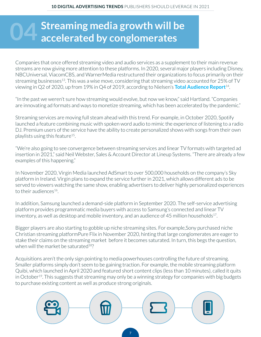## <span id="page-6-0"></span>**Streaming media growth will be accelerated by conglomerates**

Companies that once offered streaming video and audio services as a supplement to their main revenue streams are now giving more attention to these platforms. In 2020, several major players including Disney, NBCUniversal, ViacomCBS, and WarnerMedia restructured their organizations to focus primarily on their streaming businesses<sup>13</sup>. This was a wise move, considering that streaming video accounted for 25% of TV viewing in Q2 of 2020, up from 19% in Q4 of 2019, according to Nielsen's **[Total Audience Report](https://www.nielsen.com/us/en/insights/article/2020/the-nielsen-total-audience-report-hub/)**14.

"In the past we weren't sure how streaming would evolve, but now we know," said Hartland. "Companies are innovating ad formats and ways to monetize streaming, which has been accelerated by the pandemic."

Streaming services are moving full steam ahead with this trend. For example, in October 2020, Spotify launched a feature combining music with spoken word audio to mimic the experience of listening to a radio DJ. Premium users of the service have the ability to create personalized shows with songs from their own playlists using this feature15.

"We're also going to see convergence between streaming services and linear TV formats with targeted ad insertion in 2021," said Neil Webster, Sales & Account Director at Lineup Systems. "There are already a few examples of this happening."

In November 2020, Virgin Media launched AdSmart to over 500,000 households on the company's Sky platform in Ireland. Virgin plans to expand the service further in 2021, which allows different ads to be served to viewers watching the same show, enabling advertisers to deliver highly personalized experiences to their audiences<sup>16</sup>.

In addition, Samsung launched a demand-side platform in September 2020. The self-service advertising platform provides programmatic media buyers with access to Samsung's connected and linear TV inventory, as well as desktop and mobile inventory, and an audience of 45 million households<sup>17</sup>.

Bigger players are also starting to gobble up niche streaming sites. For example,Sony purchased niche Christian streaming platformPure Flix in November 2020, hinting that large conglomerates are eager to stake their claims on the streaming market before it becomes saturated. In turn, this begs the question, when will the market be saturated<sup>18</sup>?

Acquisitions aren't the only sign pointing to media powerhouses controlling the future of streaming. Smaller platforms simply don't seem to be gaining traction. For example, the mobile streaming platform Quibi, which launched in April 2020 and featured short content clips (less than 10 minutes), called it quits in October<sup>19</sup>. This suggests that streaming may only be a winning strategy for companies with big budgets to purchase existing content as well as produce strong originals.



7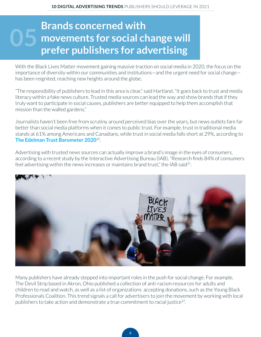### <span id="page-7-0"></span>**Brands concerned with movements for social change will prains concerned with**<br>movements for social change will<br>prefer publishers for advertising

With the Black Lives Matter movement gaining massive traction on social media in 2020, the focus on the importance of diversity within our communities and institutions—and the urgent need for social change has been reignited, reaching new heights around the globe.

"The responsibility of publishers to lead in this area is clear," said Hartland. "It goes back to trust and media literacy within a fake news culture. Trusted media sources can lead the way and show brands that if they truly want to participate in social causes, publishers are better equipped to help them accomplish that mission than the walled gardens."

Journalists haven't been free from scrutiny around perceived bias over the years, but news outlets fare far better than social media platforms when it comes to public trust. For example, trust in traditional media stands at 61% among Americans and Canadians, while trust in social media falls short at 29%, according to **[The Edelman Trust Barometer 2020](https://www.edelman.com/sites/g/files/aatuss191/files/2020-01/2020%20Edelman%20Trust%20Barometer%20Global%20Report.pdf)**20.

Advertising with trusted news sources can actually improve a brand's image in the eyes of consumers, according to a recent study by the Interactive Advertising Bureau (IAB). "Research finds 84% of consumers feel advertising within the news increases or maintains brand trust," the IAB said<sup>21</sup>.



Many publishers have already stepped into important roles in the push for social change. For example, The Devil Strip based in Akron, Ohio published a collection of anti-racism resources for adults and children to read and watch, as well as a list of organizations accepting donations, such as the Young Black Professionals Coalition. This trend signals a call for advertisers to join the movement by working with local publishers to take action and demonstrate a true commitment to racial justice<sup>22</sup>.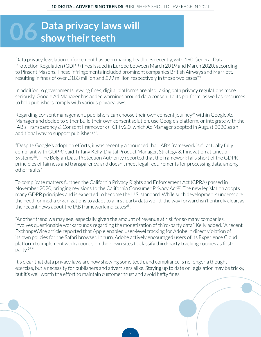# <span id="page-8-0"></span>**Data privacy laws will 06 show their teeth**

Data privacy legislation enforcement has been making headlines recently, with 190 General Data Protection Regulation (GDPR) fines issued in Europe between March 2019 and March 2020, according to Pinsent Masons. These infringements included prominent companies British Airways and Marriott, resulting in fines of over £183 million and £99 million respectively in those two cases<sup>23</sup>.

In addition to governments levying fines, digital platforms are also taking data privacy regulations more seriously. Google Ad Manager has added warnings around data consent to its platform, as well as resources to help publishers comply with various privacy laws.

Regarding consent management, publishers can choose their own consent journey<sup>24</sup> within Google Ad Manager and decide to either build their own consent solution, use Google's platform, or integrate with the IAB's Transparency & Consent Framework (TCF) v2.0, which Ad Manager adopted in August 2020 as an additional way to support publishers $25$ .

"Despite Google's adoption efforts, it was recently announced that IAB's framework isn't actually fully compliant with GDPR," said Tiffany Kelly, Digital Product Manager, Strategy & Innovation at Lineup Systems<sup>26</sup>. "The Belgian Data Protection Authority reported that the framework falls short of the GDPR principles of fairness and transparency, and doesn't meet legal requirements for processing data, among other faults."

To complicate matters further, the California Privacy Rights and Enforcement Act (CPRA) passed in November 2020, bringing revisions to the California Consumer Privacy Act<sup>27</sup>. The new legislation adopts many GDPR principles and is expected to become the U.S. standard. While such developments underscore the need for media organizations to adapt to a first-party data world, the way forward isn't entirely clear, as the recent news about the IAB framework indicates<sup>28</sup>.

"Another trend we may see, especially given the amount of revenue at risk for so many companies, involves questionable workarounds regarding the monetization of third-party data," Kelly added. "A recent ExchangeWire article reported that Apple enabled user-level tracking for Adobe in direct violation of its own policies for the Safari browser. In turn, Adobe actively encouraged users of its Experience Cloud platform to implement workarounds on their own sites to classify third-party tracking cookies as firstparty.29 "

It's clear that data privacy laws are now showing some teeth, and compliance is no longer a thought exercise, but a necessity for publishers and advertisers alike. Staying up to date on legislation may be tricky, but it's well worth the effort to maintain customer trust and avoid hefty fines.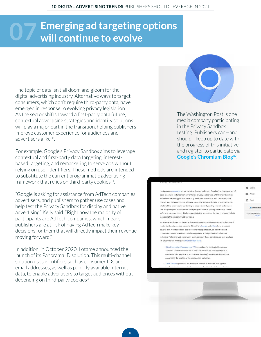### <span id="page-9-0"></span>**Emerging ad targeting options 07 will continue to evolve**

The topic of data isn't all doom and gloom for the digital advertising industry. Alternative ways to target consumers, which don't require third-party data, have emerged in response to evolving privacy legislation. As the sector shifts toward a first-party data future, contextual advertising strategies and identity solutions will play a major part in the transition, helping publishers improve customer experience for audiences and advertisers alike30.

For example, Google's Privacy Sandbox aims to leverage contextual and first-party data targeting, interestbased targeting, and remarketing to serve ads without relying on user identifiers. These methods are intended to substitute the current programmatic advertising framework that relies on third-party cookies $31$ .

"Google is asking for assistance from AdTech companies, advertisers, and publishers to gather use cases and help test the Privacy Sandbox for display and native advertising," Kelly said. "Right now the majority of participants are AdTech companies, which means publishers are at risk of having AdTech make key decisions for them that will directly impact their revenue moving forward."

In addition, in October 2020, Lotame announced the launch of its Panorama ID solution. This multi-channel solution uses identifiers such as consumer IDs and email addresses, as well as publicly available internet data, to enable advertisers to target audiences without depending on third-party cookies $33$ .



The Washington Post is one media company participating in the Privacy Sandbox testing. Publishers can—and should—keep up to date with the progress of this initiative and register to participate via **[Google's Chromium Blog32.](https://blog.chromium.org/2020/10/progress-on-privacy-sandbox-and.html)**

Last year we announced a new initiative (known as Privacy Sandbox) to develop a set of open standards to fundamentally enhance privacy on the web. With Privacy Sandbox we've been exploring privacy-preserving mechanisms with the web community that protect user data and prevent intrusive cross-site tracking. Our aim is to preserve the vitality of the open web by continuing to enable the rich, quality content and services that people expect, but with even stronger guarantees of privacy and safety. Today we're sharing progress on this long-term initiative and asking for your continued help in increasing the privacy of web browsing.

Label: **But Archiv** Feed<br>Feed

In January we shared our intent to develop privacy-preserving open-standards that will render third-party cookies obsolete. Since then, Google and others have proposed several new APIs to address use cases like fraud protection, ad selection, and conversion measurement without allowing users' activity to be tracked across websites. Following web community input, some of these solutions are now available for experimental testing via Chrome origin trials:

- Click Conversion Measurement API opened up for testing in Septembe and aims to enable marketers to know whether an ad click resulted in a conversion (for example, a purchase or a sign-up) on another site, without connecting the identity of the user across both sites.

. Trust Tokens opened up for testing in July and is intended to support a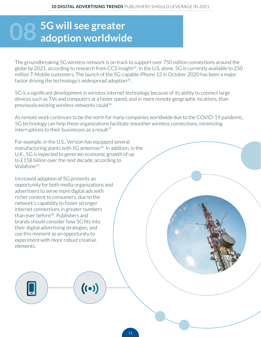# <span id="page-10-0"></span>**5G will see greater 08 adoption worldwide**

The groundbreaking 5G wireless network is on track to support over 750 million connections around the globe by 2021, according to research from CCS Insight<sup>34</sup>. In the U.S. alone, 5G is currently available to 250 million T-Mobile customers. The launch of the 5G-capable iPhone 12 in October 2020 has been a major factor driving the technology's widespread adoption<sup>35</sup>.

5G is a significant development in wireless internet technology because of its ability to connect large devices such as TVs and computers at a faster speed, and in more remote geographic locations, than previously existing wireless networks could<sup>36</sup>.

As remote work continues to be the norm for many companies worldwide due to the COVID-19 pandemic, 5G technology can help these organizations facilitate smoother wireless connections, minimizing interruptions to their businesses as a result $37$ .

For example, in the U.S., Verizon has equipped several manufacturing plants with 5G antennas<sup>38</sup>. In addition, in the U.K., 5G is expected to generate economic growth of up to £158 billion over the next decade, according to Vodafone39.

 $((\cdot))$ 

Increased adoption of 5G presents an opportunity for both media organizations and advertisers to serve more digital ads with richer content to consumers, due to the network's capability to foster stronger internet connections in greater numbers than ever before<sup>40</sup>. Publishers and brands should consider how 5G fits into their digital advertising strategies, and use this moment as an opportunity to experiment with more robust creative elements.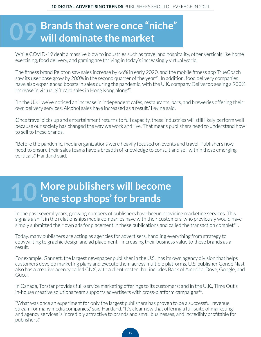# <span id="page-11-0"></span>**Brands that were once "niche" 09 will dominate the market**

While COVID-19 dealt a massive blow to industries such as travel and hospitality, other verticals like home exercising, food delivery, and gaming are thriving in today's increasingly virtual world.

The fitness brand Peloton saw sales increase by 66% in early 2020, and the mobile fitness app TrueCoach saw its user base grow by 200% in the second quarter of the year<sup>41</sup>. In addition, food delivery companies have also experienced boosts in sales during the pandemic, with the U.K. company Deliveroo seeing a 900% increase in virtual gift card sales in Hong Kong alone<sup>42</sup>.

"In the U.K., we've noticed an increase in independent cafés, restaurants, bars, and breweries offering their own delivery services. Alcohol sales have increased as a result," Levine said.

Once travel picks up and entertainment returns to full capacity, these industries will still likely perform well because our society has changed the way we work and live. That means publishers need to understand how to sell to these brands.

"Before the pandemic, media organizations were heavily focused on events and travel. Publishers now need to ensure their sales teams have a breadth of knowledge to consult and sell within these emerging verticals," Hartland said.

# **More publishers will become 10 'one stop shops' for brands**

In the past several years, growing numbers of publishers have begun providing marketing services. This signals a shift in the relationships media companies have with their customers, who previously would have simply submitted their own ads for placement in these publications and called the transaction complet<sup>43</sup>.

Today, many publishers are acting as agencies for advertisers, handling everything from strategy to copywriting to graphic design and ad placement—increasing their business value to these brands as a result.

For example, Gannett, the largest newspaper publisher in the U.S., has its own agency division that helps customers develop marketing plans and execute them across multiple platforms. U.S. publisher Condé Nast also has a creative agency called CNX, with a client roster that includes Bank of America, Dove, Google, and Gucci.

In Canada, Torstar provides full-service marketing offerings to its customers; and in the U.K., Time Out's in-house creative solutions team supports advertisers with cross-platform campaigns<sup>44</sup>.

"What was once an experiment for only the largest publishers has proven to be a successful revenue stream for many media companies," said Hartland. "It's clear now that offering a full suite of marketing and agency services is incredibly attractive to brands and small businesses, and incredibly profitable for publishers."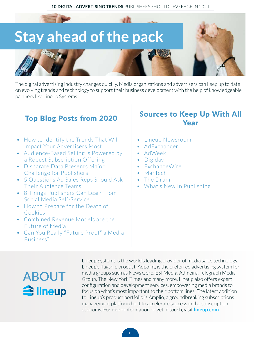

The digital advertising industry changes quickly. Media organizations and advertisers can keep up to date on evolving trends and technology to support their business development with the help of knowledgeable partners like Lineup Systems.

- [How to Identify the Trends That Will](https://www.lineup.com/newsroom/how-to-identify-the-trends-that-will-impact-your-advertisers-most)  [Impact Your Advertisers Most](https://www.lineup.com/newsroom/how-to-identify-the-trends-that-will-impact-your-advertisers-most)
- [Audience-Based Selling is Powered by](https://www.lineup.com/newsroom/audience-based-selling-is-powered-by-a-robust-subscription-offering)  [a Robust Subscription Offering](https://www.lineup.com/newsroom/audience-based-selling-is-powered-by-a-robust-subscription-offering)
- [Disparate Data Presents Major](https://www.lineup.com/newsroom/disparate-data-presents-major-challenge-for-publishers)  [Challenge for Publishers](https://www.lineup.com/newsroom/disparate-data-presents-major-challenge-for-publishers)
- [5 Questions Ad Sales Reps Should Ask](https://www.lineup.com/newsroom/5-questions-ad-teams-should-ask-audience-teams)  [Their Audience Teams](https://www.lineup.com/newsroom/5-questions-ad-teams-should-ask-audience-teams)
- [8 Things Publishers Can Learn from](https://www.lineup.com/newsroom/8-things-publishers-can-learn-from-social-media-self-service)  [Social Media Self-Service](https://www.lineup.com/newsroom/8-things-publishers-can-learn-from-social-media-self-service)
- [How to Prepare for the Death of](https://www.lineup.com/newsroom/how-to-prepare-for-the-death-of-cookies)  [Cookies](https://www.lineup.com/newsroom/how-to-prepare-for-the-death-of-cookies)
- [Combined Revenue Models are the](https://www.lineup.com/newsroom/combined-revenue-models-are-the-future-of-media)  [Future of Media](https://www.lineup.com/newsroom/combined-revenue-models-are-the-future-of-media)
- [Can You Really "Future Proof" a Media](https://www.lineup.com/newsroom/can-you-really-future-proof-a-media-business)  [Business?](https://www.lineup.com/newsroom/can-you-really-future-proof-a-media-business)

### Top Blog Posts from 2020 Sources to Keep Up With All Year

- [Lineup Newsroom](https://www.lineup.com/newsroom)
- [AdExchanger](https://www.adexchanger.com/)
- [AdWeek](https://www.adweek.com/)
- [Digiday](https://digiday.com/)
- [ExchangeWire](https://www.exchangewire.com/)
- [MarTech](https://martechtoday.com/)
- [The Drum](https://www.thedrum.com/us)
- [What's New In Publishing](https://whatsnewinpublishing.com/)

### ABOUT Sineup

Lineup Systems is the world's leading provider of media sales technology. Lineup's flagship product, Adpoint, is the preferred advertising system for media groups such as News Corp, ESI Media, Admeira, Telegraph Media Group, The New York Times and many more. Lineup also offers expert configuration and development services, empowering media brands to focus on what's most important to their bottom lines. The latest addition to Lineup's product portfolio is Amplio, a groundbreaking subscriptions management platform built to accelerate success in the subscription economy. For more information or get in touch, visit **[lineup.com](http://www.lineup.com)**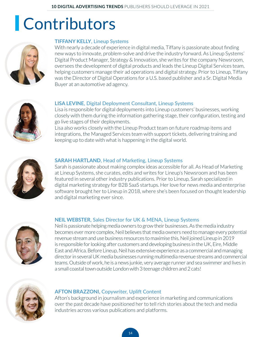### **Contributors**



#### **TIFFANY KELLY**, Lineup Systems

With nearly a decade of experience in digital media, Tiffany is passionate about finding new ways to innovate, problem-solve and drive the industry forward. As Lineup Systems' Digital Product Manager, Strategy & Innovation, she writes for the company Newsroom, oversees the development of digital products and leads the Lineup Digital Services team, helping customers manage their ad operations and digital strategy. Prior to Lineup, Tiffany was the Director of Digital Operations for a U.S. based publisher and a Sr. Digital Media Buyer at an automotive ad agency.



#### **LISA LEVINE**, Digital Deployment Consultant, Lineup Systems

Lisa is responsible for digital deployments into Lineup customers' businesses, working closely with them during the information gathering stage, their configuration, testing and go live stages of their deployments.

Lisa also works closely with the Lineup Product team on future roadmap items and integrations, the Managed Services team with support tickets, delivering training and keeping up to date with what is happening in the digital world.



#### **[SARAH HARTLAND](https://www.lineup.com/newsroom/author/shartland)**, Head of Marketing, Lineup Systems

Sarah is passionate about making complex ideas accessible for all. As Head of Marketing at Lineup Systems, she curates, edits and writes for Lineup's Newsroom and has been featured in several other industry publications. Prior to Lineup, Sarah specialized in digital marketing strategy for B2B SaaS startups. Her love for news media and enterprise software brought her to Lineup in 2018, where she's been focused on thought leadership and digital marketing ever since.



#### **NEIL WEBSTER**, Sales Director for UK & MENA, Lineup Systems

Neil is passionate helping media owners to grow their businesses. As the media industry becomes ever more complex, Neil believes that media owners need to manage every potential revenue stream and use business resources to maximise this. Neil joined Lineup in 2019 is responsible for looking after customers and developing business in the UK, Eire, Middle East and Africa. Before Lineup, Neil has extensive experience as a commercial and managing director in several UK media businesses running multimedia revenue streams and commercial teams. Outside of work, he is a news junkie, very average runner and sea swimmer and lives in a small coastal town outside London with 3 teenage children and 2 cats!



#### **AFTON BRAZZONI,** Copywriter, Uplift Content

Afton's background in journalism and experience in marketing and communications over the past decade have positioned her to tell rich stories about the tech and media industries across various publications and platforms.